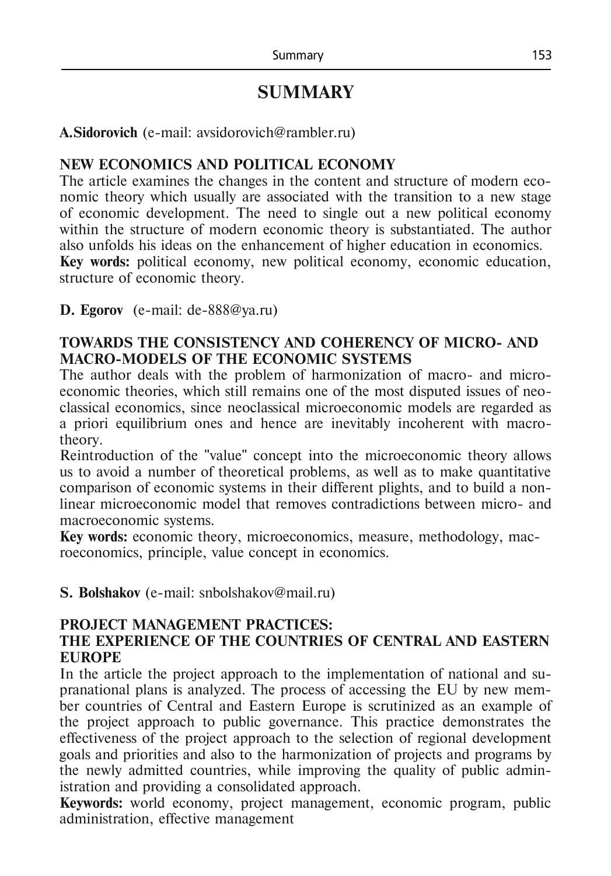# **SUMMARY**

#### **A.Sidorovich** (e-mail: [avsidorovich@rambler.ru\)](mailto:avsidorovich@rambler.ru)

## **NEW ECONOMICS AND POLITICAL ECONOMY**

The article examines the changes in the content and structure of modern economic theory which usually are associated with the transition to a new stage of economic development. The need to single out a new political economy within the structure of modern economic theory is substantiated. The author also unfolds his ideas on the enhancement of higher education in economics. **Key words:** political economy, new political economy, economic education, structure of economic theory.

**D. Egorov** (e-mail: [de-888@ya.ru\)](mailto:de-888@ya.ru)

#### **TOWARDS THE CONSISTENCY AND COHERENCY OF MICRO- AND MACRO-MODELS OF THE ECONOMIC SYSTEMS**

The author deals with the problem of harmonization of macro- and microeconomic theories, which still remains one of the most disputed issues of neoclassical economics, since neoclassical microeconomic models are regarded as a priori equilibrium ones and hence are inevitably incoherent with macrotheory.

Reintroduction of the "value" concept into the microeconomic theory allows us to avoid a number of theoretical problems, as well as to make quantitative comparison of economic systems in their different plights, and to build a nonlinear microeconomic model that removes contradictions between micro- and macroeconomic systems.

**Key words:** economic theory, microeconomics, measure, methodology, macroeconomics, principle, value concept in economics.

**S. Bolshakov** (e-mail: [snbolshakov@mail.ru\)](mailto:snbolshakov@mail.ru)

## **PROJECT MANAGEMENT PRACTICES:**

## **THE EXPERIENCE OF THE COUNTRIES OF CENTRAL AND EASTERN EUROPE**

In the article the project approach to the implementation of national and supranational plans is analyzed. The process of accessing the EU by new member countries of Central and Eastern Europe is scrutinized as an example of the project approach to public governance. This practice demonstrates the effectiveness of the project approach to the selection of regional development goals and priorities and also to the harmonization of projects and programs by the newly admitted countries, while improving the quality of public administration and providing a consolidated approach.

**Keywords:** world economy, project management, economic program, public administration, effective management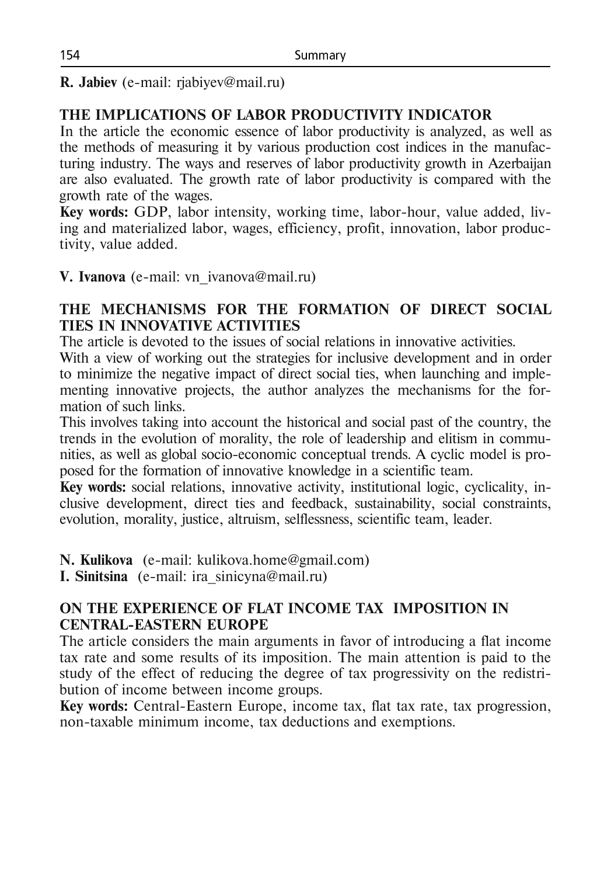**R. Jabiev** (e-mail: rjabiyev@mail.ru)

## **THE IMPLICATIONS OF LABOR PRODUCTIVITY INDICATOR**

In the article the economic essence of labor productivity is analyzed, as well as the methods of measuring it by various production cost indices in the manufacturing industry. The ways and reserves of labor productivity growth in Azerbaijan are also evaluated. The growth rate of labor productivity is compared with the growth rate of the wages.

**Key words:** GDP, labor intensity, working time, labor-hour, value added, living and materialized labor, wages, efficiency, profit, innovation, labor productivity, value added.

**V. Ivanova** (e-mail: vn ivanova@mail.ru)

## **THE MECHANISMS FOR THE FORMATION OF DIRECT SOCIAL TIES IN INNOVATIVE ACTIVITIES**

The article is devoted to the issues of social relations in innovative activities.

With a view of working out the strategies for inclusive development and in order to minimize the negative impact of direct social ties, when launching and implementing innovative projects, the author analyzes the mechanisms for the formation of such links.

This involves taking into account the historical and social past of the country, the trends in the evolution of morality, the role of leadership and elitism in communities, as well as global socio-economic conceptual trends. A cyclic model is proposed for the formation of innovative knowledge in a scientific team.

**Key words:** social relations, innovative activity, institutional logic, cyclicality, inclusive development, direct ties and feedback, sustainability, social constraints, evolution, morality, justice, altruism, selflessness, scientific team, leader.

**N. Kulikova** (e-mail: [kulikova.home@gmail.com\)](mailto:kulikova.home@gmail.com)

**I. Sinitsina** (e-mail: [ira\\_sinicyna@mail.ru\)](mailto:ira_sinicyna@mail.ru)

## **ON THE EXPERIENCE OF FLAT INCOME TAX IMPOSITION IN CENTRAL-EASTERN EUROPE**

The article considers the main arguments in favor of introducing a flat income tax rate and some results of its imposition. The main attention is paid to the study of the effect of reducing the degree of tax progressivity on the redistribution of income between income groups.

**Key words:** Central-Eastern Europe, income tax, flat tax rate, tax progression, non-taxable minimum income, tax deductions and exemptions.